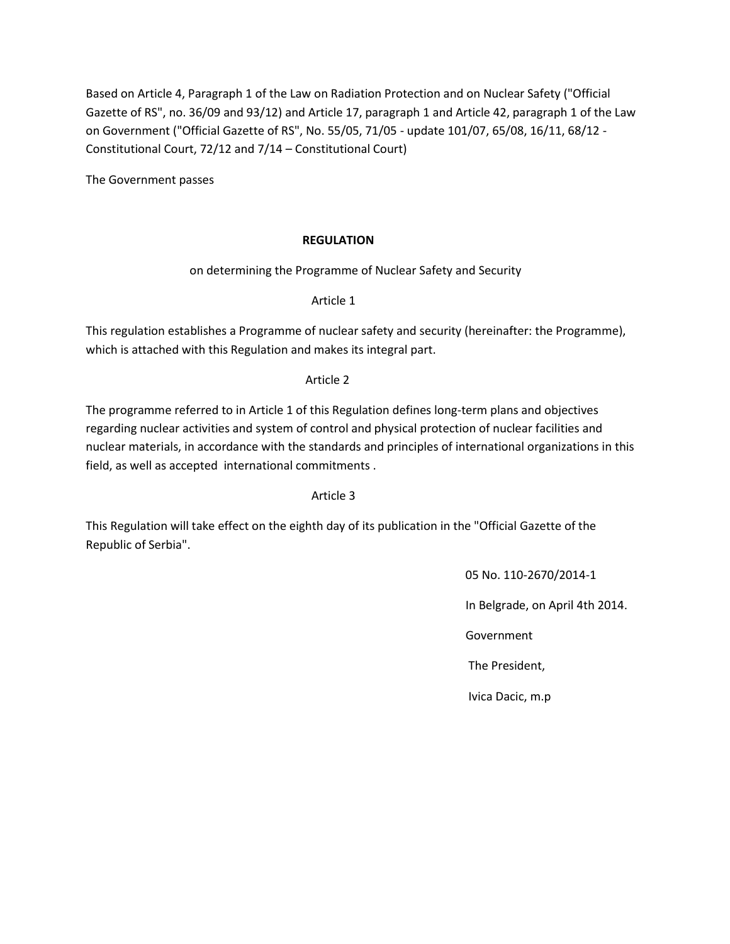Based on Article 4, Paragraph 1 of the Law on Radiation Protection and on Nuclear Safety ("Official Gazette of RS", no. 36/09 and 93/12) and Article 17, paragraph 1 and Article 42, paragraph 1 of the Law on Government ("Official Gazette of RS", No. 55/05, 71/05 - update 101/07, 65/08, 16/11, 68/12 - Constitutional Court, 72/12 and 7/14 – Constitutional Court)

The Government passes

# **REGULATION**

on determining the Programme of Nuclear Safety and Security

Article 1

This regulation establishes a Programme of nuclear safety and security (hereinafter: the Programme), which is attached with this Regulation and makes its integral part.

### Article 2

The programme referred to in Article 1 of this Regulation defines long-term plans and objectives regarding nuclear activities and system of control and physical protection of nuclear facilities and nuclear materials, in accordance with the standards and principles of international organizations in this field, as well as accepted international commitments .

#### Article 3

This Regulation will take effect on the eighth day of its publication in the "Official Gazette of the Republic of Serbia".

05 No. 110-2670/2014-1

In Belgrade, on April 4th 2014.

Government

The President,

Ivica Dacic, m.p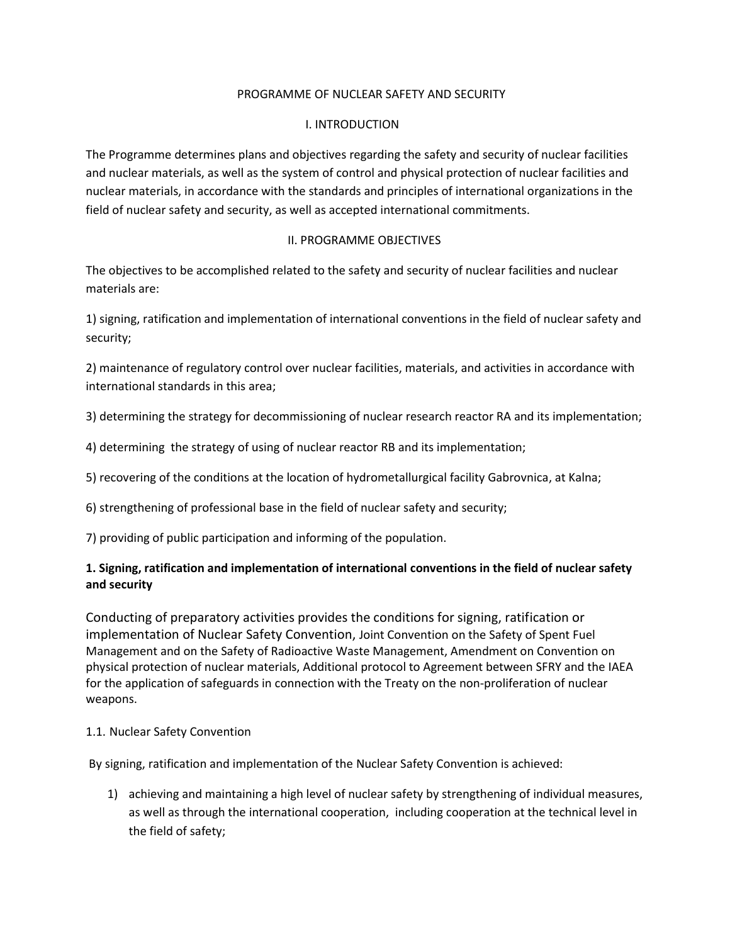#### PROGRAMME OF NUCLEAR SAFETY AND SECURITY

### I. INTRODUCTION

The Programme determines plans and objectives regarding the safety and security of nuclear facilities and nuclear materials, as well as the system of control and physical protection of nuclear facilities and nuclear materials, in accordance with the standards and principles of international organizations in the field of nuclear safety and security, as well as accepted international commitments.

### II. PROGRAMME OBJECTIVES

The objectives to be accomplished related to the safety and security of nuclear facilities and nuclear materials are:

1) signing, ratification and implementation of international conventions in the field of nuclear safety and security;

2) maintenance of regulatory control over nuclear facilities, materials, and activities in accordance with international standards in this area;

3) determining the strategy for decommissioning of nuclear research reactor RA and its implementation;

- 4) determining the strategy of using of nuclear reactor RB and its implementation;
- 5) recovering of the conditions at the location of hydrometallurgical facility Gabrovnica, at Kalna;
- 6) strengthening of professional base in the field of nuclear safety and security;
- 7) providing of public participation and informing of the population.

# **1. Signing, ratification and implementation of international conventions in the field of nuclear safety and security**

Conducting of preparatory activities provides the conditions for signing, ratification or implementation of Nuclear Safety Convention, Joint Convention on the Safety of Spent Fuel Management and on the Safety of Radioactive Waste Management, Amendment on Convention on physical protection of nuclear materials, Additional protocol to Agreement between SFRY and the IAEA for the application of safeguards in connection with the Treaty on the non-proliferation of nuclear weapons.

#### 1.1. Nuclear Safety Convention

By signing, ratification and implementation of the Nuclear Safety Convention is achieved:

1) achieving and maintaining a high level of nuclear safety by strengthening of individual measures, as well as through the international cooperation, including cooperation at the technical level in the field of safety;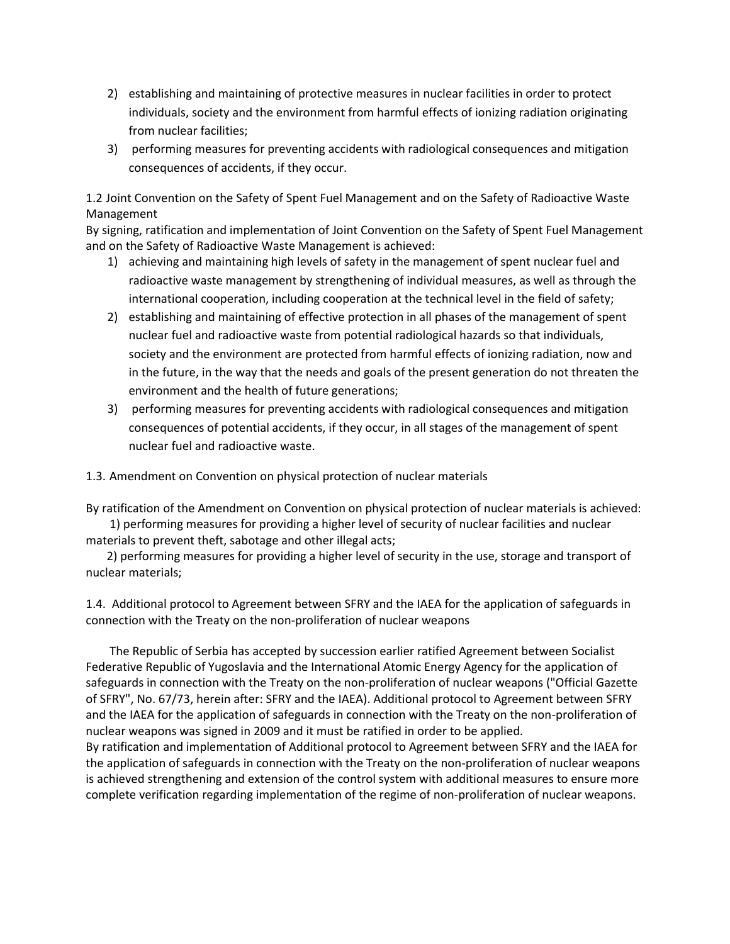- 2) establishing and maintaining of protective measures in nuclear facilities in order to protect individuals, society and the environment from harmful effects of ionizing radiation originating from nuclear facilities;
- 3) performing measures for preventing accidents with radiological consequences and mitigation consequences of accidents, if they occur.

1.2 Joint Convention on the Safety of Spent Fuel Management and on the Safety of Radioactive Waste Management

By signing, ratification and implementation of Joint Convention on the Safety of Spent Fuel Management and on the Safety of Radioactive Waste Management is achieved:

- 1) achieving and maintaining high levels of safety in the management of spent nuclear fuel and radioactive waste management by strengthening of individual measures, as well as through the international cooperation, including cooperation at the technical level in the field of safety;
- 2) establishing and maintaining of effective protection in all phases of the management of spent nuclear fuel and radioactive waste from potential radiological hazards so that individuals, society and the environment are protected from harmful effects of ionizing radiation, now and in the future, in the way that the needs and goals of the present generation do not threaten the environment and the health of future generations;
- 3) performing measures for preventing accidents with radiological consequences and mitigation consequences of potential accidents, if they occur, in all stages of the management of spent nuclear fuel and radioactive waste.

1.3. Amendment on Convention on physical protection of nuclear materials

By ratification of the Amendment on Convention on physical protection of nuclear materials is achieved: 1) performing measures for providing a higher level of security of nuclear facilities and nuclear

materials to prevent theft, sabotage and other illegal acts; 2) performing measures for providing a higher level of security in the use, storage and transport of nuclear materials;

1.4. Additional protocol to Agreement between SFRY and the IAEA for the application of safeguards in connection with the Treaty on the non-proliferation of nuclear weapons

 The Republic of Serbia has accepted by succession earlier ratified Agreement between Socialist Federative Republic of Yugoslavia and the International Atomic Energy Agency for the application of safeguards in connection with the Treaty on the non-proliferation of nuclear weapons ("Official Gazette of SFRY", No. 67/73, herein after: SFRY and the IAEA). Additional protocol to Agreement between SFRY and the IAEA for the application of safeguards in connection with the Treaty on the non-proliferation of nuclear weapons was signed in 2009 and it must be ratified in order to be applied.

By ratification and implementation of Additional protocol to Agreement between SFRY and the IAEA for the application of safeguards in connection with the Treaty on the non-proliferation of nuclear weapons is achieved strengthening and extension of the control system with additional measures to ensure more complete verification regarding implementation of the regime of non-proliferation of nuclear weapons.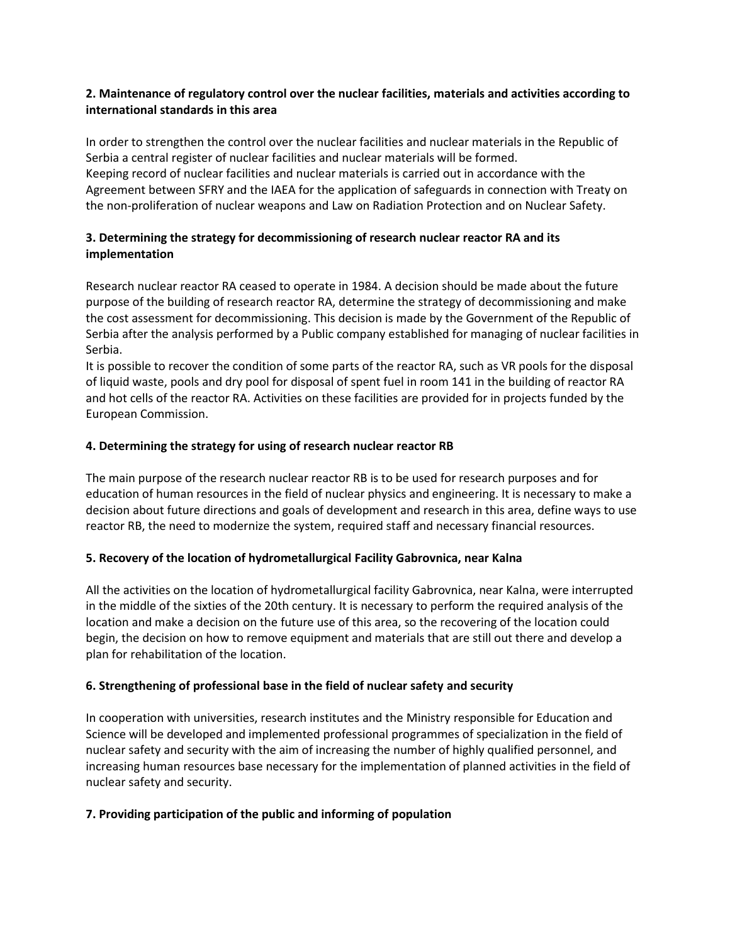### **2. Maintenance of regulatory control over the nuclear facilities, materials and activities according to international standards in this area**

In order to strengthen the control over the nuclear facilities and nuclear materials in the Republic of Serbia a central register of nuclear facilities and nuclear materials will be formed. Keeping record of nuclear facilities and nuclear materials is carried out in accordance with the Agreement between SFRY and the IAEA for the application of safeguards in connection with Treaty on the non-proliferation of nuclear weapons and Law on Radiation Protection and on Nuclear Safety.

# **3. Determining the strategy for decommissioning of research nuclear reactor RA and its implementation**

Research nuclear reactor RA ceased to operate in 1984. A decision should be made about the future purpose of the building of research reactor RA, determine the strategy of decommissioning and make the cost assessment for decommissioning. This decision is made by the Government of the Republic of Serbia after the analysis performed by a Public company established for managing of nuclear facilities in Serbia.

It is possible to recover the condition of some parts of the reactor RA, such as VR pools for the disposal of liquid waste, pools and dry pool for disposal of spent fuel in room 141 in the building of reactor RA and hot cells of the reactor RA. Activities on these facilities are provided for in projects funded by the European Commission.

# **4. Determining the strategy for using of research nuclear reactor RB**

The main purpose of the research nuclear reactor RB is to be used for research purposes and for education of human resources in the field of nuclear physics and engineering. It is necessary to make a decision about future directions and goals of development and research in this area, define ways to use reactor RB, the need to modernize the system, required staff and necessary financial resources.

#### **5. Recovery of the location of hydrometallurgical Facility Gabrovnica, near Kalna**

All the activities on the location of hydrometallurgical facility Gabrovnica, near Kalna, were interrupted in the middle of the sixties of the 20th century. It is necessary to perform the required analysis of the location and make a decision on the future use of this area, so the recovering of the location could begin, the decision on how to remove equipment and materials that are still out there and develop a plan for rehabilitation of the location.

#### **6. Strengthening of professional base in the field of nuclear safety and security**

In cooperation with universities, research institutes and the Ministry responsible for Education and Science will be developed and implemented professional programmes of specialization in the field of nuclear safety and security with the aim of increasing the number of highly qualified personnel, and increasing human resources base necessary for the implementation of planned activities in the field of nuclear safety and security.

#### **7. Providing participation of the public and informing of population**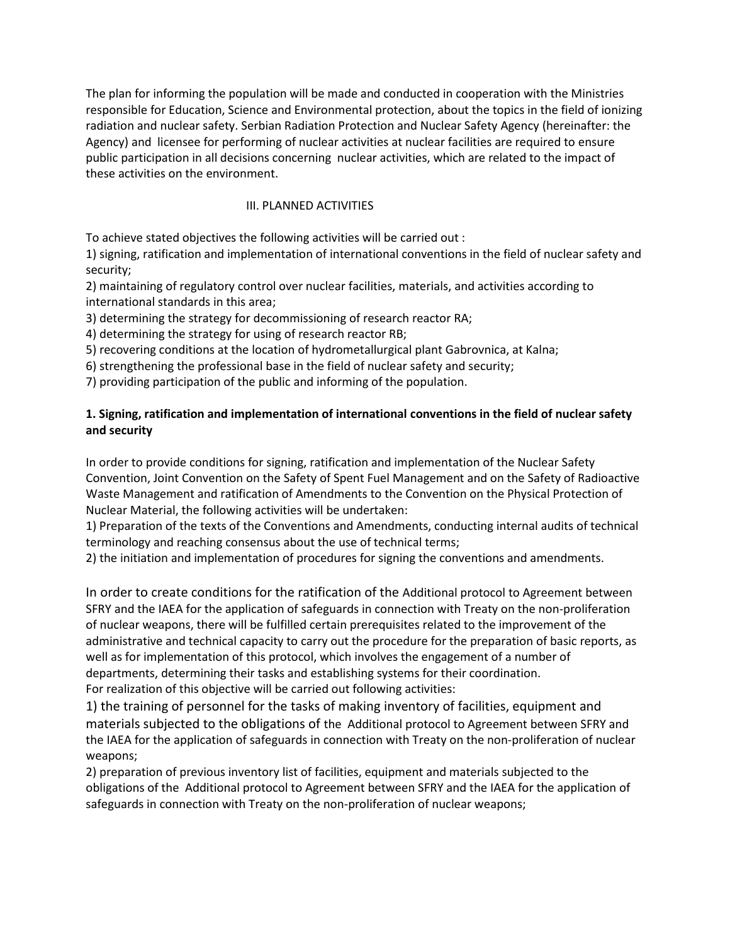The plan for informing the population will be made and conducted in cooperation with the Ministries responsible for Education, Science and Environmental protection, about the topics in the field of ionizing radiation and nuclear safety. Serbian Radiation Protection and Nuclear Safety Agency (hereinafter: the Agency) and licensee for performing of nuclear activities at nuclear facilities are required to ensure public participation in all decisions concerning nuclear activities, which are related to the impact of these activities on the environment.

# III. PLANNED ACTIVITIES

To achieve stated objectives the following activities will be carried out :

1) signing, ratification and implementation of international conventions in the field of nuclear safety and security;

2) maintaining of regulatory control over nuclear facilities, materials, and activities according to international standards in this area;

3) determining the strategy for decommissioning of research reactor RA;

4) determining the strategy for using of research reactor RB;

5) recovering conditions at the location of hydrometallurgical plant Gabrovnica, at Kalna;

6) strengthening the professional base in the field of nuclear safety and security;

7) providing participation of the public and informing of the population.

### **1. Signing, ratification and implementation of international conventions in the field of nuclear safety and security**

In order to provide conditions for signing, ratification and implementation of the Nuclear Safety Convention, Joint Convention on the Safety of Spent Fuel Management and on the Safety of Radioactive Waste Management and ratification of Amendments to the Convention on the Physical Protection of Nuclear Material, the following activities will be undertaken:

1) Preparation of the texts of the Conventions and Amendments, conducting internal audits of technical terminology and reaching consensus about the use of technical terms;

2) the initiation and implementation of procedures for signing the conventions and amendments.

In order to create conditions for the ratification of the Additional protocol to Agreement between SFRY and the IAEA for the application of safeguards in connection with Treaty on the non-proliferation of nuclear weapons, there will be fulfilled certain prerequisites related to the improvement of the administrative and technical capacity to carry out the procedure for the preparation of basic reports, as well as for implementation of this protocol, which involves the engagement of a number of departments, determining their tasks and establishing systems for their coordination.

For realization of this objective will be carried out following activities:

1) the training of personnel for the tasks of making inventory of facilities, equipment and materials subjected to the obligations of the Additional protocol to Agreement between SFRY and the IAEA for the application of safeguards in connection with Treaty on the non-proliferation of nuclear weapons;

2) preparation of previous inventory list of facilities, equipment and materials subjected to the obligations of the Additional protocol to Agreement between SFRY and the IAEA for the application of safeguards in connection with Treaty on the non-proliferation of nuclear weapons;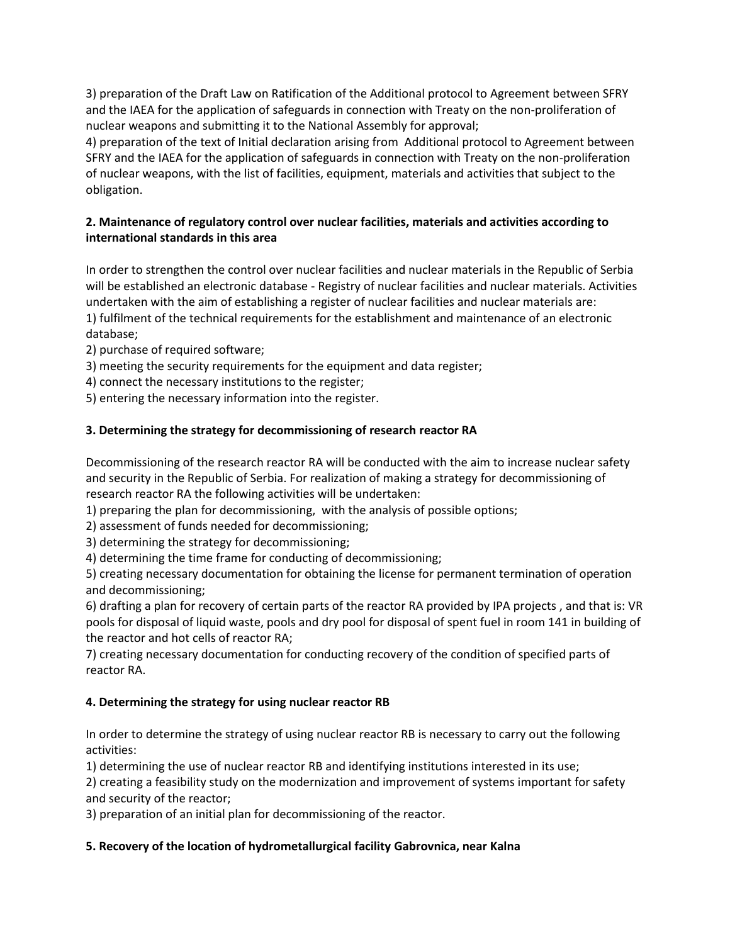3) preparation of the Draft Law on Ratification of the Additional protocol to Agreement between SFRY and the IAEA for the application of safeguards in connection with Treaty on the non-proliferation of nuclear weapons and submitting it to the National Assembly for approval;

4) preparation of the text of Initial declaration arising from Additional protocol to Agreement between SFRY and the IAEA for the application of safeguards in connection with Treaty on the non-proliferation of nuclear weapons, with the list of facilities, equipment, materials and activities that subject to the obligation.

# **2. Maintenance of regulatory control over nuclear facilities, materials and activities according to international standards in this area**

In order to strengthen the control over nuclear facilities and nuclear materials in the Republic of Serbia will be established an electronic database - Registry of nuclear facilities and nuclear materials. Activities undertaken with the aim of establishing a register of nuclear facilities and nuclear materials are: 1) fulfilment of the technical requirements for the establishment and maintenance of an electronic database;

- 2) purchase of required software;
- 3) meeting the security requirements for the equipment and data register;
- 4) connect the necessary institutions to the register;
- 5) entering the necessary information into the register.

# **3. Determining the strategy for decommissioning of research reactor RA**

Decommissioning of the research reactor RA will be conducted with the aim to increase nuclear safety and security in the Republic of Serbia. For realization of making a strategy for decommissioning of research reactor RA the following activities will be undertaken:

1) preparing the plan for decommissioning, with the analysis of possible options;

2) assessment of funds needed for decommissioning;

3) determining the strategy for decommissioning;

4) determining the time frame for conducting of decommissioning;

5) creating necessary documentation for obtaining the license for permanent termination of operation and decommissioning;

6) drafting a plan for recovery of certain parts of the reactor RA provided by IPA projects , and that is: VR pools for disposal of liquid waste, pools and dry pool for disposal of spent fuel in room 141 in building of the reactor and hot cells of reactor RA;

7) creating necessary documentation for conducting recovery of the condition of specified parts of reactor RA.

# **4. Determining the strategy for using nuclear reactor RB**

In order to determine the strategy of using nuclear reactor RB is necessary to carry out the following activities:

1) determining the use of nuclear reactor RB and identifying institutions interested in its use;

2) creating a feasibility study on the modernization and improvement of systems important for safety and security of the reactor;

3) preparation of an initial plan for decommissioning of the reactor.

# **5. Recovery of the location of hydrometallurgical facility Gabrovnica, near Kalna**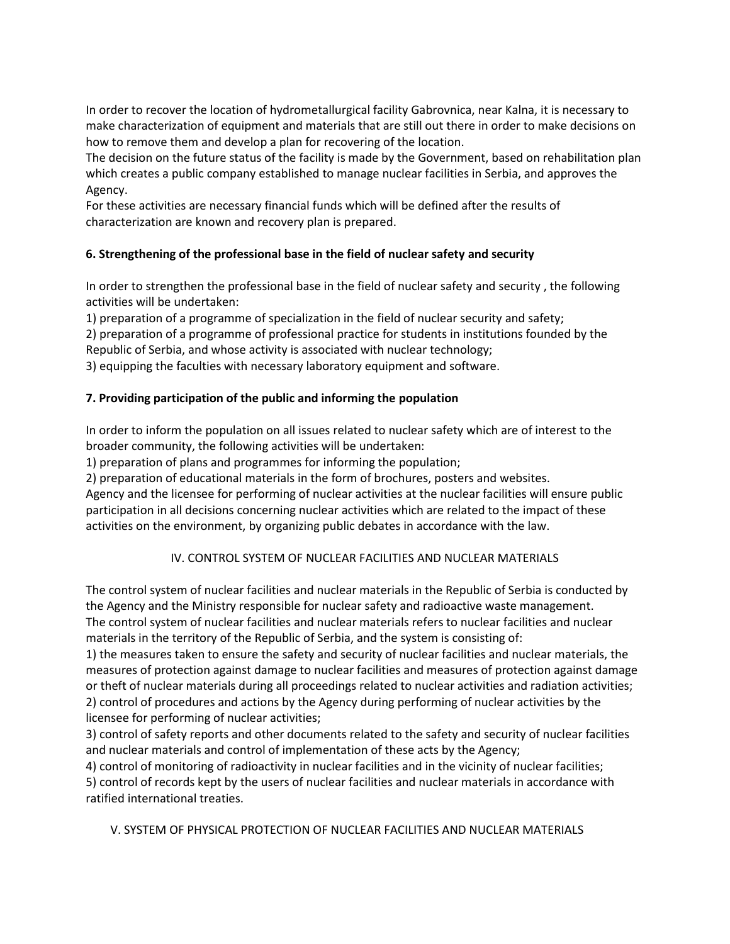In order to recover the location of hydrometallurgical facility Gabrovnica, near Kalna, it is necessary to make characterization of equipment and materials that are still out there in order to make decisions on how to remove them and develop a plan for recovering of the location.

The decision on the future status of the facility is made by the Government, based on rehabilitation plan which creates a public company established to manage nuclear facilities in Serbia, and approves the Agency.

For these activities are necessary financial funds which will be defined after the results of characterization are known and recovery plan is prepared.

# **6. Strengthening of the professional base in the field of nuclear safety and security**

In order to strengthen the professional base in the field of nuclear safety and security , the following activities will be undertaken:

1) preparation of a programme of specialization in the field of nuclear security and safety;

2) preparation of a programme of professional practice for students in institutions founded by the Republic of Serbia, and whose activity is associated with nuclear technology;

3) equipping the faculties with necessary laboratory equipment and software.

# **7. Providing participation of the public and informing the population**

In order to inform the population on all issues related to nuclear safety which are of interest to the broader community, the following activities will be undertaken:

1) preparation of plans and programmes for informing the population;

2) preparation of educational materials in the form of brochures, posters and websites.

Agency and the licensee for performing of nuclear activities at the nuclear facilities will ensure public participation in all decisions concerning nuclear activities which are related to the impact of these activities on the environment, by organizing public debates in accordance with the law.

# IV. CONTROL SYSTEM OF NUCLEAR FACILITIES AND NUCLEAR MATERIALS

The control system of nuclear facilities and nuclear materials in the Republic of Serbia is conducted by the Agency and the Ministry responsible for nuclear safety and radioactive waste management. The control system of nuclear facilities and nuclear materials refers to nuclear facilities and nuclear materials in the territory of the Republic of Serbia, and the system is consisting of:

1) the measures taken to ensure the safety and security of nuclear facilities and nuclear materials, the measures of protection against damage to nuclear facilities and measures of protection against damage or theft of nuclear materials during all proceedings related to nuclear activities and radiation activities; 2) control of procedures and actions by the Agency during performing of nuclear activities by the licensee for performing of nuclear activities;

3) control of safety reports and other documents related to the safety and security of nuclear facilities and nuclear materials and control of implementation of these acts by the Agency;

4) control of monitoring of radioactivity in nuclear facilities and in the vicinity of nuclear facilities; 5) control of records kept by the users of nuclear facilities and nuclear materials in accordance with ratified international treaties.

# V. SYSTEM OF PHYSICAL PROTECTION OF NUCLEAR FACILITIES AND NUCLEAR MATERIALS